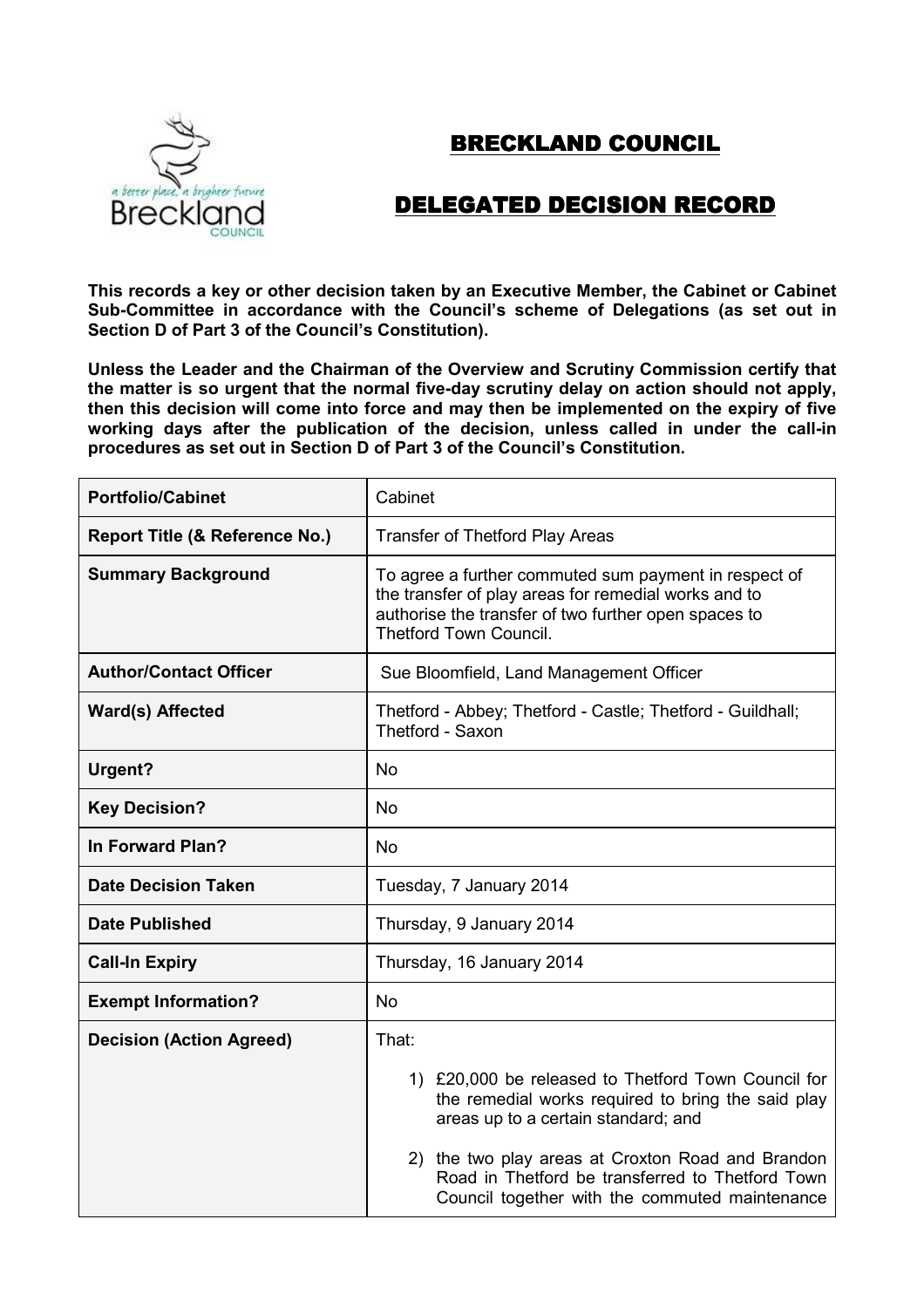## BRECKLAND COUNCIL



## DELEGATED DECISION RECORD

**This records a key or other decision taken by an Executive Member, the Cabinet or Cabinet Sub-Committee in accordance with the Council's scheme of Delegations (as set out in Section D of Part 3 of the Council's Constitution).**

**Unless the Leader and the Chairman of the Overview and Scrutiny Commission certify that the matter is so urgent that the normal five-day scrutiny delay on action should not apply, then this decision will come into force and may then be implemented on the expiry of five working days after the publication of the decision, unless called in under the call-in procedures as set out in Section D of Part 3 of the Council's Constitution.**

| <b>Portfolio/Cabinet</b>        | Cabinet                                                                                                                                                                                                |
|---------------------------------|--------------------------------------------------------------------------------------------------------------------------------------------------------------------------------------------------------|
| Report Title (& Reference No.)  | <b>Transfer of Thetford Play Areas</b>                                                                                                                                                                 |
| <b>Summary Background</b>       | To agree a further commuted sum payment in respect of<br>the transfer of play areas for remedial works and to<br>authorise the transfer of two further open spaces to<br><b>Thetford Town Council.</b> |
| <b>Author/Contact Officer</b>   | Sue Bloomfield, Land Management Officer                                                                                                                                                                |
| Ward(s) Affected                | Thetford - Abbey; Thetford - Castle; Thetford - Guildhall;<br>Thetford - Saxon                                                                                                                         |
| Urgent?                         | <b>No</b>                                                                                                                                                                                              |
| <b>Key Decision?</b>            | <b>No</b>                                                                                                                                                                                              |
| In Forward Plan?                | <b>No</b>                                                                                                                                                                                              |
| <b>Date Decision Taken</b>      | Tuesday, 7 January 2014                                                                                                                                                                                |
| <b>Date Published</b>           | Thursday, 9 January 2014                                                                                                                                                                               |
| <b>Call-In Expiry</b>           | Thursday, 16 January 2014                                                                                                                                                                              |
| <b>Exempt Information?</b>      | <b>No</b>                                                                                                                                                                                              |
| <b>Decision (Action Agreed)</b> | That:                                                                                                                                                                                                  |
|                                 | 1) £20,000 be released to Thetford Town Council for<br>the remedial works required to bring the said play<br>areas up to a certain standard; and                                                       |
|                                 | 2) the two play areas at Croxton Road and Brandon<br>Road in Thetford be transferred to Thetford Town<br>Council together with the commuted maintenance                                                |